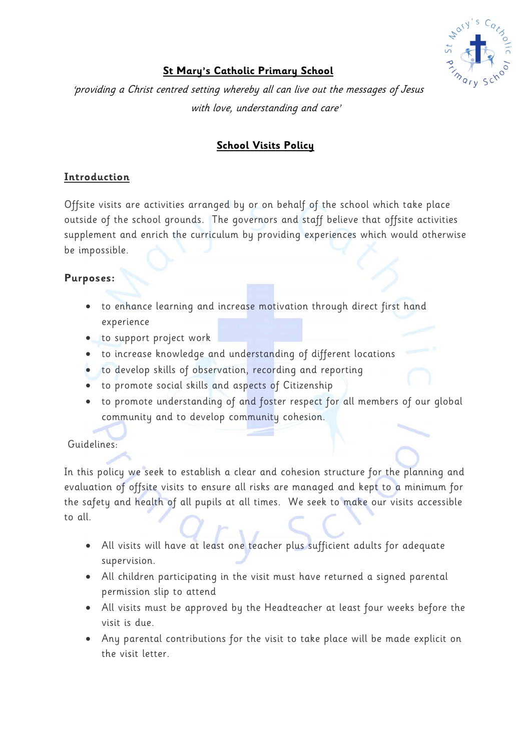

# **St Mary's Catholic Primary School**

'providing a Christ centred setting whereby all can live out the messages of Jesus with love, understanding and care'

# **School Visits Policy**

## **Introduction**

Offsite visits are activities arranged by or on behalf of the school which take place outside of the school grounds. The governors and staff believe that offsite activities supplement and enrich the curriculum by providing experiences which would otherwise be impossible.

## **Purposes:**

- to enhance learning and increase motivation through direct first hand experience
- to support project work
- to increase knowledge and understanding of different locations
- to develop skills of observation, recording and reporting
- to promote social skills and aspects of Citizenship
- to promote understanding of and foster respect for all members of our global community and to develop community cohesion.

# Guidelines:

In this policy we seek to establish a clear and cohesion structure for the planning and evaluation of offsite visits to ensure all risks are managed and kept to a minimum for the safety and health of all pupils at all times. We seek to make our visits accessible to all.

- All visits will have at least one teacher plus sufficient adults for adequate supervision.
- All children participating in the visit must have returned a signed parental permission slip to attend
- All visits must be approved by the Headteacher at least four weeks before the visit is due.
- Any parental contributions for the visit to take place will be made explicit on the visit letter.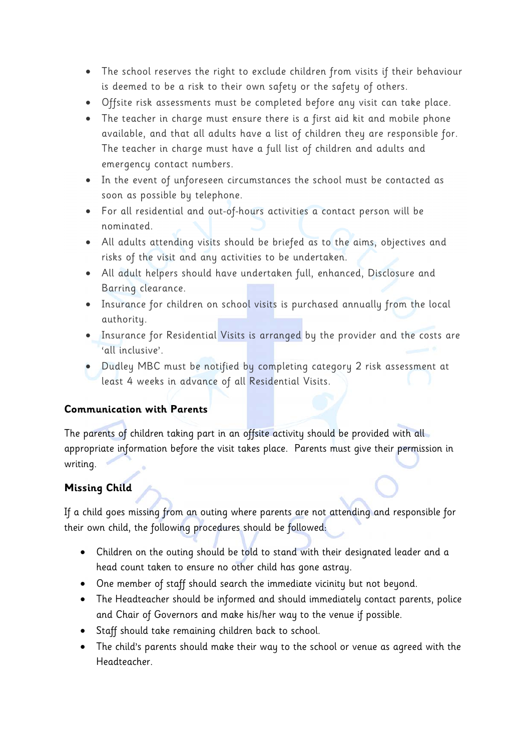- The school reserves the right to exclude children from visits if their behaviour is deemed to be a risk to their own safety or the safety of others.
- Offsite risk assessments must be completed before any visit can take place.
- The teacher in charge must ensure there is a first aid kit and mobile phone available, and that all adults have a list of children they are responsible for. The teacher in charge must have a full list of children and adults and emergency contact numbers.
- In the event of unforeseen circumstances the school must be contacted as soon as possible by telephone.
- For all residential and out-of-hours activities a contact person will be nominated.
- All adults attending visits should be briefed as to the aims, objectives and risks of the visit and any activities to be undertaken.
- All adult helpers should have undertaken full, enhanced, Disclosure and Barring clearance.
- Insurance for children on school visits is purchased annually from the local authority.
- Insurance for Residential Visits is arranged by the provider and the costs are 'all inclusive'.
- Dudley MBC must be notified by completing category 2 risk assessment at least 4 weeks in advance of all Residential Visits.

### **Communication with Parents**

The parents of children taking part in an offsite activity should be provided with all appropriate information before the visit takes place. Parents must give their permission in writing.

### **Missing Child**

If a child goes missing from an outing where parents are not attending and responsible for their own child, the following procedures should be followed:

- Children on the outing should be told to stand with their designated leader and a head count taken to ensure no other child has gone astray.
- One member of staff should search the immediate vicinity but not beyond.
- The Headteacher should be informed and should immediately contact parents, police and Chair of Governors and make his/her way to the venue if possible.
- Staff should take remaining children back to school.
- The child's parents should make their way to the school or venue as agreed with the Headteacher.